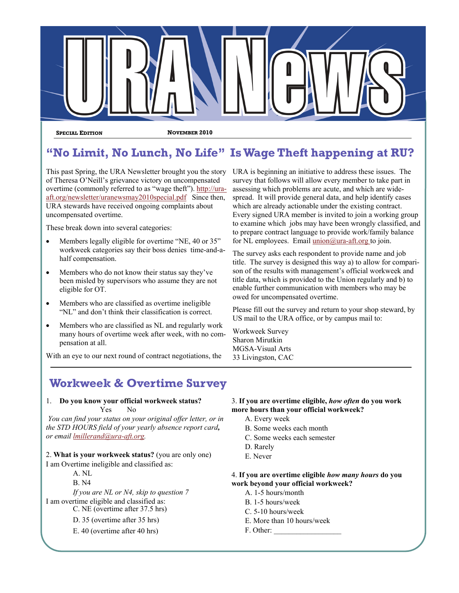

**SPECIAL EDITION NOVEMBER 2010** 

# **"No Limit, No Lunch, No Life" Is Wage Theft happening at RU?**

This past Spring, the URA Newsletter brought you the story of Theresa O'Neill's grievance victory on uncompensated overtime (commonly referred to as "wage theft"). [http://ura](http://ura-aft.org/newsletter/uranewsmay2010special.pdf)[aft.org/newsletter/uranewsmay2010special.pdf](http://ura-aft.org/newsletter/uranewsmay2010special.pdf) Since then, URA stewards have received ongoing complaints about uncompensated overtime.

These break down into several categories:

- Members legally eligible for overtime "NE, 40 or 35" workweek categories say their boss denies time-and-ahalf compensation.
- Members who do not know their status say they've been misled by supervisors who assume they are not eligible for OT.
- Members who are classified as overtime ineligible "NL" and don't think their classification is correct.
- Members who are classified as NL and regularly work many hours of overtime week after week, with no compensation at all.

With an eye to our next round of contract negotiations, the

# **Workweek & Overtime Survey**

#### 1. **Do you know your official workweek status?** Yes No

 *You can find your status on your original offer letter, or in the STD HOURS field of your yearly absence report card, or email lmillerand@ura-aft.org.*

### 2. **What is your workweek status?** (you are only one) I am Overtime ineligible and classified as:

A. NL

B. N4

*If you are NL or N4, skip to question 7* I am overtime eligible and classified as: C. NE (overtime after 37.5 hrs)

D. 35 (overtime after 35 hrs)

E. 40 (overtime after 40 hrs)

## 3. **If you are overtime eligible,** *how often* **do you work more hours than your official workweek?**

URA is beginning an initiative to address these issues. The survey that follows will allow every member to take part in assessing which problems are acute, and which are widespread. It will provide general data, and help identify cases which are already actionable under the existing contract. Every signed URA member is invited to join a working group to examine which jobs may have been wrongly classified, and to prepare contract language to provide work/family balance for NL employees. Email  $union@ura-aff.org$  to join.

The survey asks each respondent to provide name and job title. The survey is designed this way a) to allow for comparison of the results with management's official workweek and title data, which is provided to the Union regularly and b) to enable further communication with members who may be

Please fill out the survey and return to your shop steward, by

US mail to the URA office, or by campus mail to:

- A. Every week
- B. Some weeks each month

owed for uncompensated overtime.

- C. Some weeks each semester
- D. Rarely

Workweek Survey Sharon Mirutkin MGSA-Visual Arts 33 Livingston, CAC

E. Never

# 4. **If you are overtime eligible** *how many hours* **do you work beyond your official workweek?**

- A. 1-5 hours/month
- B. 1-5 hours/week
- C. 5-10 hours/week
- E. More than 10 hours/week
- F. Other: